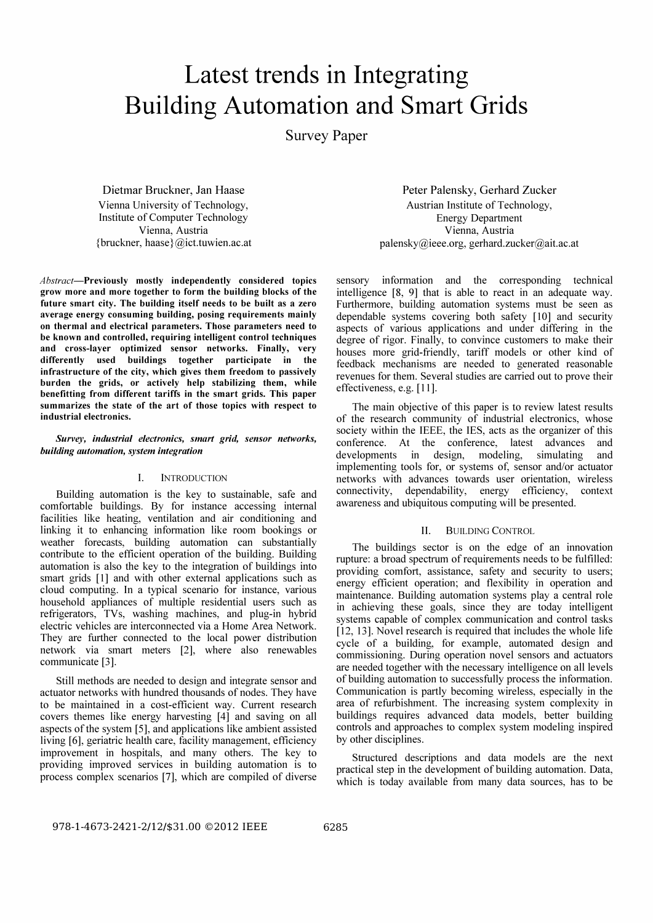# Latest trends in Integrating Building Automation and Smart Grids

Survey Paper

Dietmar Bruckner, Jan Haase Vienna University of Technology, Institute of Computer Technology Vienna, Austria  ${bruckner, haase}@ict.tuwien.ac.at$ 

Abstract-Previously mostly independently considered topics grow more and more together to form the building blocks of the future smart city. The building itself needs to be built as a zero average energy consuming building, posing requirements mainly on thermal and electrical parameters. Those parameters need to be known and controlled, requiring intelligent control techniques and cross-layer optimized sensor networks. Finally, very differently used buildings together participate in the infrastructure of the city, which gives them freedom to passively burden the grids, or actively help stabilizing them, while benefitting from different tariffs in the smart grids. This paper summarizes the state of the art of those topics with respect to industrial electronics.

# Survey, industrial electronics, smart grid, sensor networks, building automation, system integration

# I. INTRODUCTION

Building automation is the key to sustainable, safe and comfortable buildings. By for instance accessing internal facilities like heating, ventilation and air conditioning and linking it to enhancing infonnation like room bookings or weather forecasts, building automation can substantially contribute to the efficient operation of the building. Building automation is also the key to the integration of buildings into smart grids [1] and with other external applications such as cloud computing. In a typical scenario for instance, various household appliances of multiple residential users such as refrigerators, TVs, washing machines, and plug-in hybrid electric vehicles are interconnected via a Home Area Network. They are further connected to the local power distribution network via smart meters [2], where also renewables communicate [3].

Still methods are needed to design and integrate sensor and actuator networks with hundred thousands of nodes. They have to be maintained in a cost-efficient way. Current research covers themes like energy harvesting [4] and saving on all aspects of the system [5], and applications like ambient assisted living [6], geriatric health care, facility management, efficiency improvement in hospitals, and many others. The key to providing improved services in building automation is to process complex scenarios [7], which are compiled of diverse

Peter Palensky, Gerhard Zucker Austrian Institute of Technology, Energy Department Vienna, Austria palensky@ieee.org, gerhard.zucker@ait.ac.at

sensory information and the corresponding technical intelligence [8, 9] that is able to react in an adequate way. Furthermore, building automation systems must be seen as dependable systems covering both safety [10] and security aspects of various applications and under differing in the degree of rigor. Finally, to convince customers to make their houses more grid-friendly, tariff models or other kind of feedback mechanisms are needed to generated reasonable revenues for them. Several studies are carried out to prove their effectiveness, e.g. [11].

The main objective of this paper is to review latest results of the research community of industrial electronics, whose society within the IEEE, the IES, acts as the organizer of this conference. At the conference, latest advances and developments in design, modeling, simulating and implementing tools for, or systems of, sensor and/or actuator networks with advances towards user orientation, wireless connectivity, dependability, energy efficiency, context awareness and ubiquitous computing will be presented.

### II. BUILDING CONTROL

The buildings sector is on the edge of an innovation rupture: a broad spectrum of requirements needs to be fulfilled: providing comfort, assistance, safety and security to users; energy efficient operation; and flexibility in operation and maintenance. Building automation systems play a central role in achieving these goals, since they are today intelligent systems capable of complex communication and control tasks [12, 13]. Novel research is required that includes the whole life cycle of a building, for example, automated design and commissioning. During operation novel sensors and actuators are needed together with the necessary intelligence on all levels of building automation to successfully process the information. Communication is partly becoming wireless, especially in the area of refurbishment. The increasing system complexity in buildings requires advanced data models, better building controls and approaches to complex system modeling inspired by other disciplines.

Structured descriptions and data models are the next practical step in the development of building automation. Data, which is today available from many data sources, has to be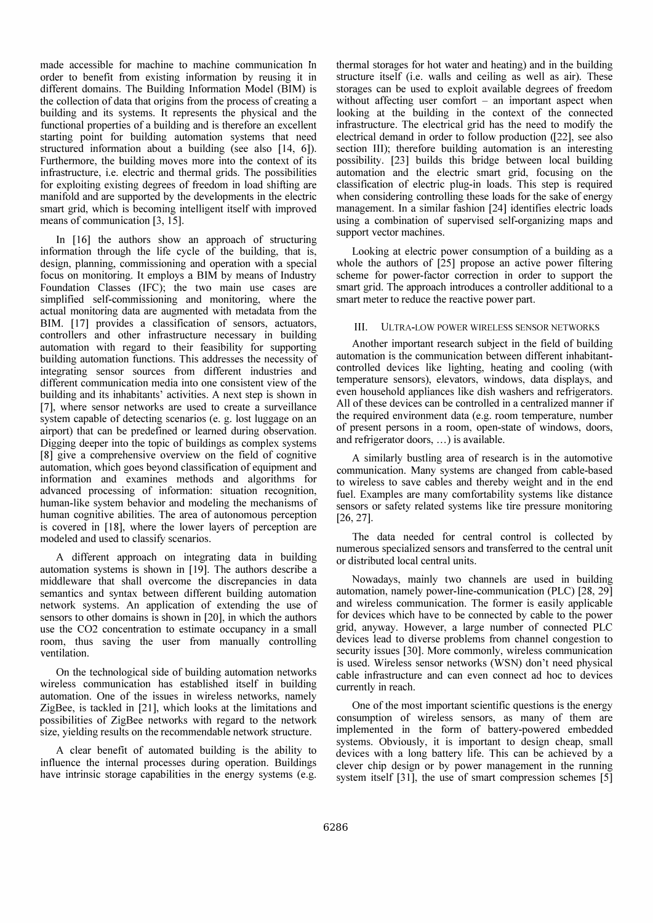made accessible for machine to machine communication in order to benefit from existing information by reusing it in different domains. The Building Information Model (BIM) is the collection of data that origins from the process of creating a building and its systems. It represents the physical and the functional properties of a building and is therefore an excellent starting point for building automation systems that need structured information about a building (see also [14, 6]). Furthermore, the building moves more into the context of its infrastructure, i.e. electric and thermal grids. The possibilities for exploiting existing degrees of freedom in load shifting are manifold and are supported by the developments in the electric smart grid, which is becoming intelligent itself with improved means of communication [3, 15].

In [16] the authors show an approach of structuring information through the life cycle of the building, that is, design, planning, commissioning and operation with a special focus on monitoring. It employs a BIM by means of Industry Foundation Classes (IFC); the two main use cases are simplified self-commissioning and monitoring, where the actual monitoring data are augmented with metadata from the BIM. [17] provides a classification of sensors, actuators, controllers and other infrastructure necessary in building automation with regard to their feasibility for supporting building automation functions. This addresses the necessity of integrating sensor sources from different industries and different communication media into one consistent view of the building and its inhabitants' activities. A next step is shown in [7], where sensor networks are used to create a surveillance system capable of detecting scenarios (e. g. lost luggage on an airport) that can be predefmed or learned during observation. Digging deeper into the topic of buildings as complex systems [8] give a comprehensive overview on the field of cognitive automation, which goes beyond classification of equipment and information and examines methods and algorithms for advanced processing of information: situation recognition, human-like system behavior and modeling the mechanisms of human cognitive abilities. The area of autonomous perception is covered in [18], where the lower layers of perception are modeled and used to classify scenarios.

A different approach on integrating data in building automation systems is shown in [19]. The authors describe a middleware that shall overcome the discrepancies in data semantics and syntax between different building automation network systems. An application of extending the use of sensors to other domains is shown in [20], in which the authors use the C02 concentration to estimate occupancy in a small room, thus saving the user from manually controlling ventilation.

On the technological side of building automation networks wireless communication has established itself in building automation. One of the issues in wireless networks, namely ZigBee, is tackled in [21], which looks at the limitations and possibilities of ZigBee networks with regard to the network size, yielding results on the recommendable network structure.

A clear benefit of automated building is the ability to influence the internal processes during operation. Buildings have intrinsic storage capabilities in the energy systems (e.g.

thermal storages for hot water and heating) and in the building structure itself (i.e. walls and ceiling as well as air). These storages can be used to exploit available degrees of freedom without affecting user comfort  $-$  an important aspect when looking at the building in the context of the connected infrastructure. The electrical grid has the need to modify the electrical demand in order to follow production ([22], see also section III); therefore building automation is an interesting possibility. [23] builds this bridge between local building automation and the electric smart grid, focusing on the classification of electric plug-in loads. This step is required when considering controlling these loads for the sake of energy management. In a similar fashion [24] identifies electric loads using a combination of supervised self-organizing maps and support vector machines.

Looking at electric power consumption of a building as a whole the authors of [25] propose an active power filtering scheme for power-factor correction in order to support the smart grid. The approach introduces a controller additional to a smart meter to reduce the reactive power part.

## III. ULTRA-LOW POWER WIRELESS SENSOR NETWORKS

Another important research subject in the field of building automation is the communication between different inhabitantcontrolled devices like lighting, heating and cooling (with temperature sensors), elevators, windows, data displays, and even household appliances like dish washers and refrigerators. All of these devices can be controlled in a centralized manner if the required environment data (e.g. room temperature, number of present persons in a room, open-state of windows, doors, and refrigerator doors, ... ) is available.

A similarly bustling area of research is in the automotive communication. Many systems are changed from cable-based to wireless to save cables and thereby weight and in the end fuel. Examples are many comfortability systems like distance sensors or safety related systems like tire pressure monitoring [26, 27].

The data needed for central control is collected by numerous specialized sensors and transferred to the central unit or distributed local central units.

Nowadays, mainly two channels are used in building automation, namely power-line-communication (PLC) [28, 29] and wireless communication. The former is easily applicable for devices which have to be connected by cable to the power grid, anyway. However, a large number of connected PLC devices lead to diverse problems from channel congestion to security issues [30]. More commonly, wireless communication is used. Wireless sensor networks (WSN) don't need physical cable infrastructure and can even connect ad hoc to devices currently in reach.

One of the most important scientific questions is the energy consumption of wireless sensors, as many of them are implemented in the form of battery-powered embedded systems. Obviously, it is important to design cheap, small devices with a long battery life. This can be achieved by a clever chip design or by power management in the running system itself [31], the use of smart compression schemes [5]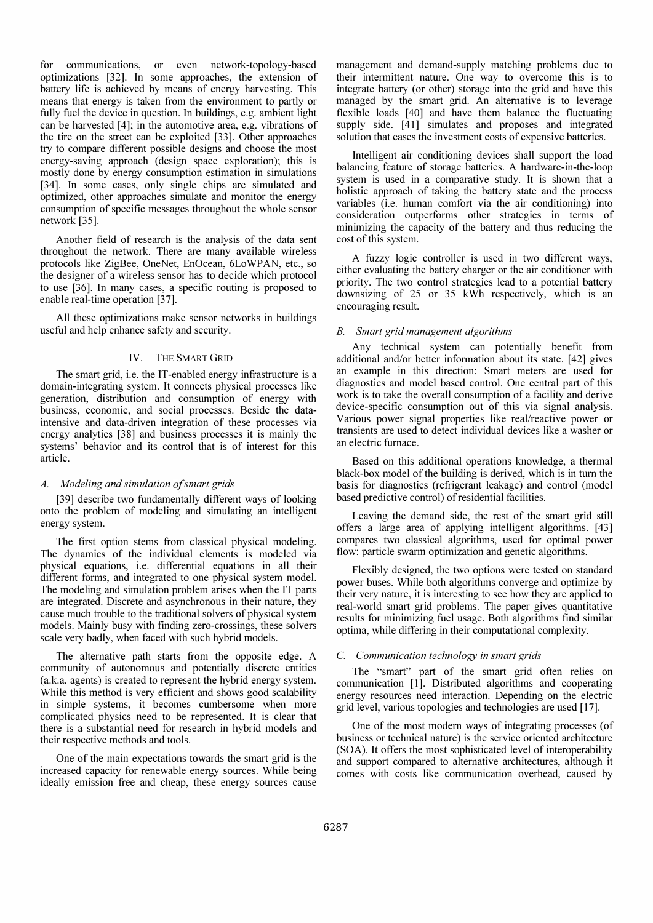for communications, or even network-topology-based optimizations [32]. In some approaches, the extension of battery life is achieved by means of energy harvesting. This means that energy is taken from the environment to partly or fully fuel the device in question. In buildings, e.g. ambient light can be harvested [4]; in the automotive area, e.g. vibrations of the tire on the street can be exploited [33]. Other approaches try to compare different possible designs and choose the most energy-saving approach (design space exploration); this is mostly done by energy consumption estimation in simulations [34]. In some cases, only single chips are simulated and optimized, other approaches simulate and monitor the energy consumption of specific messages throughout the whole sensor network [35].

Another field of research is the analysis of the data sent throughout the network. There are many available wireless protocols like ZigBee, OneNet, EnOcean, 6LoWPAN, etc., so the designer of a wireless sensor has to decide which protocol to use [36]. In many cases, a specific routing is proposed to enable real-time operation [37].

All these optimizations make sensor networks in buildings useful and help enhance safety and security.

# IV. THE SMART GRID

The smart grid, i.e. the IT-enabled energy infrastructure is a domain-integrating system. It connects physical processes like generation, distribution and consumption of energy with business, economic, and social processes. Beside the dataintensive and data-driven integration of these processes via energy analytics [38] and business processes it is mainly the systems' behavior and its control that is of interest for this article.

## A. Modeling and simulation of smart grids

[39] describe two fundamentally different ways of looking onto the problem of modeling and simulating an intelligent energy system.

The first option stems from classical physical modeling. The dynamics of the individual elements is modeled via physical equations, i.e. differential equations in all their different forms, and integrated to one physical system model. The modeling and simulation problem arises when the IT parts are integrated. Discrete and asynchronous in their nature, they cause much trouble to the traditional solvers of physical system models. Mainly busy with finding zero-crossings, these solvers scale very badly, when faced with such hybrid models.

The alternative path starts from the opposite edge. A community of autonomous and potentially discrete entities (a.k.a. agents) is created to represent the hybrid energy system. While this method is very efficient and shows good scalability in simple systems, it becomes cumbersome when more complicated physics need to be represented. It is clear that there is a substantial need for research in hybrid models and their respective methods and tools.

One of the main expectations towards the smart grid is the increased capacity for renewable energy sources. While being ideally emission free and cheap, these energy sources cause management and demand-supply matching problems due to their intermittent nature. One way to overcome this is to integrate battery (or other) storage into the grid and have this managed by the smart grid. An alternative is to leverage flexible loads [40] and have them balance the fluctuating supply side. [41] simulates and proposes and integrated solution that eases the investment costs of expensive batteries.

Intelligent air conditioning devices shall support the load balancing feature of storage batteries. A hardware-in-the-loop system is used in a comparative study. It is shown that a holistic approach of taking the battery state and the process variables (i.e. human comfort via the air conditioning) into consideration outperforms other strategies in terms of minimizing the capacity of the battery and thus reducing the cost of this system.

A fuzzy logic controller is used in two different ways, either evaluating the battery charger or the air conditioner with priority. The two control strategies lead to a potential battery downsizing of 25 or 35 kWh respectively, which is an encouraging result.

## B. Smart grid management algorithms

Any technical system can potentially benefit from additional and/or better information about its state. [42] gives an example in this direction: Smart meters are used for diagnostics and model based control. One central part of this work is to take the overall consumption of a facility and derive device-specific consumption out of this via signal analysis. Various power signal properties like real/reactive power or transients are used to detect individual devices like a washer or an electric furnace.

Based on this additional operations knowledge, a thermal black-box model of the building is derived, which is in turn the basis for diagnostics (refrigerant leakage) and control (model based predictive control) of residential facilities.

Leaving the demand side, the rest of the smart grid still offers a large area of applying intelligent algorithms. [43] compares two classical algorithms, used for optimal power flow: particle swarm optimization and genetic algorithms.

Flexibly designed, the two options were tested on standard power buses. While both algorithms converge and optimize by their very nature, it is interesting to see how they are applied to real-world smart grid problems. The paper gives quantitative results for minimizing fuel usage. Both algorithms find similar optima, while differing in their computational complexity.

## C. Communication technology in smart grids

The "smart" part of the smart grid often relies on communication [1]. Distributed algorithms and cooperating energy resources need interaction. Depending on the electric grid level, various topologies and technologies are used [17].

One of the most modern ways of integrating processes (of business or technical nature) is the service oriented architecture (SOA). It offers the most sophisticated level of interoperability and support compared to alternative architectures, although it comes with costs like communication overhead, caused by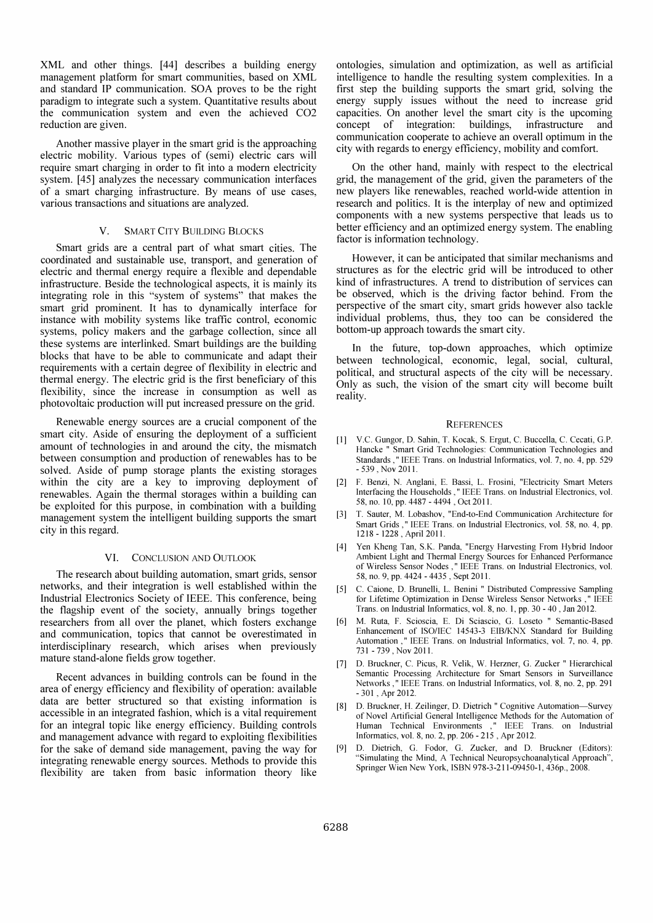XML and other things. [44] describes a building energy management platform for smart communities, based on XML and standard [P communication. SOA proves to be the right paradigm to integrate such a system. Quantitative results about the communication system and even the achieved C02 reduction are given.

Another massive player in the smart grid is the approaching electric mobility. Various types of (semi) electric cars will require smart charging in order to fit into a modern electricity system. [45] analyzes the necessary communication interfaces of a smart charging infrastructure. By means of use cases, various transactions and situations are analyzed.

### V. SMART CITY BUILDING BLOCKS

Smart grids are a central part of what smart cities. The coordinated and sustainable use, transport, and generation of electric and thermal energy require a flexible and dependable infrastructure. Beside the technological aspects, it is mainly its integrating role in this "system of systems" that makes the smart grid prominent. It has to dynamically interface for instance with mobility systems like traffic control, economic systems, policy makers and the garbage collection, since all these systems are interlinked. Smart buildings are the building blocks that have to be able to communicate and adapt their requirements with a certain degree of flexibility in electric and thermal energy. The electric grid is the first beneficiary of this flexibility, since the increase in consumption as well as photo voltaic production will put increased pressure on the grid.

Renewable energy sources are a crucial component of the smart city. Aside of ensuring the deployment of a sufficient amount of technologies in and around the city, the mismatch between consumption and production of renewables has to be solved. Aside of pump storage plants the existing storages within the city are a key to improving deployment of renewables. Again the thermal storages within a building can be exploited for this purpose, in combination with a building management system the intelligent building supports the smart city in this regard.

# VI. CONCLUSION AND OUTLOOK

The research about building automation, smart grids, sensor networks, and their integration is well established within the Industrial Electronics Society of IEEE. This conference, being the flagship event of the society, annually brings together researchers from all over the planet, which fosters exchange and communication, topics that cannot be overestimated in interdisciplinary research, which arises when previously mature stand-alone fields grow together.

Recent advances in building controls can be found in the area of energy efficiency and flexibility of operation: available data are better structured so that existing information is accessible in an integrated fashion, which is a vital requirement for an integral topic like energy efficiency. Building controls and management advance with regard to exploiting flexibilities for the sake of demand side management, paving the way for integrating renewable energy sources. Methods to provide this flexibility are taken from basic information theory like ontologies, simulation and optimization, as well as artificial intelligence to handle the resulting system complexities. In a first step the building supports the smart grid, solving the energy supply issues without the need to increase grid capacities. On another level the smart city is the upcoming concept of integration: buildings, infrastructure and communication cooperate to achieve an overall optimum in the city with regards to energy efficiency, mobility and comfort.

On the other hand, mainly with respect to the electrical grid, the management of the grid, given the parameters of the new players like renewables, reached world-wide attention in research and politics. [t is the interplay of new and optimized components with a new systems perspective that leads us to better efficiency and an optimized energy system. The enabling factor is information technology.

However, it can be anticipated that similar mechanisms and structures as for the electric grid will be introduced to other kind of infrastructures. A trend to distribution of services can be observed, which is the driving factor behind. From the perspective of the smart city, smart grids however also tackle individual problems, thus, they too can be considered the bottom-up approach towards the smart city.

In the future, top-down approaches, which optimize between technological, economic, legal, social, cultural, political, and structural aspects of the city will be necessary. Only as such, the vision of the smart city will become built reality.

#### **REFERENCES**

- [1] V.C. Gungor, D. Sahin, T. Kocak, S. Ergut, C. Buccella, C. Cecati, G.P. Hancke " Smart Grid Technologies: Communication Technologies and Standards ," IEEE Trans. on Industrial Informatics, vol. 7, no. 4, pp. 529 - 539 , Nov 2011.
- [2] F. Benzi, N. Anglani, E. Bassi, L. Frosini, "Electricity Smart Meters Interfacing the Households ," IEEE Trans. on Industrial Electronics, vol. 58, no. 10, pp. 4487 - 4494 , Oct 2011.
- [3] T. Sauter, M. Lobashov, "End-to-End Communication Architecture for Smart Grids ," IEEE Trans. on Industrial Electronics, vol. 58, no. 4, pp. 1218 - 1228 , April 2011.
- [4] Yen Kheng Tan, S.K. Panda, "Energy Harvesting From Hybrid Indoor Ambient Light and Thermal Energy Sources for Enhanced Performance of Wireless Sensor Nodes ," IEEE Trans. on Industrial Electronics, vol. 58, no. 9, pp. 4424 - 4435 , Sept 2011.
- [5] C. Caione, D. Brunelli, L. Benini " Distributed Compressive Sampling for Lifetime Optimization in Dense Wireless Sensor Networks ," IEEE Trans. on Industrial Informatics, vol. 8, no. I, pp. 30 - 40 , Jan 2012.
- [6] M. Ruta, F. Scioscia, E. Di Sciascio, G. Loseto " Semantic-Based Enhancement of ISO/IEC 14543-3 EIB/KNX Standard for Building Automation ," IEEE Trans. on Industrial Informatics, vol. 7, no. 4, pp. 731 - 739 , Nov 2011.
- [7] D. Bruckner, C. Picus, R. Velik, W. Herzner, G. Zucker " Hierarchical Semantic Processing Architecture for Smart Sensors in Surveillance Networks ," IEEE Trans. on Industrial Informatics, vol. 8, no. 2, pp. 291 - 301 , Apr 2012.
- [8] D. Bruckner, H. Zeilinger, D. Dietrich " Cognitive Automation-Survey of Novel Artificial General Intelligence Methods for the Automation of Human Technical Environments ," IEEE Trans. on Industrial Informatics, vol. 8, no. 2, pp. 206 - 215 , Apr 2012.
- [9] D. Dietrich, G. Fodor, G. Zucker, and D. Bruckner (Editors): "Simulating the Mind, A Technical Neuropsychoanalytical Approach", Springer Wien New York, ISBN 978-3-211-09450-1, 436p., 2008.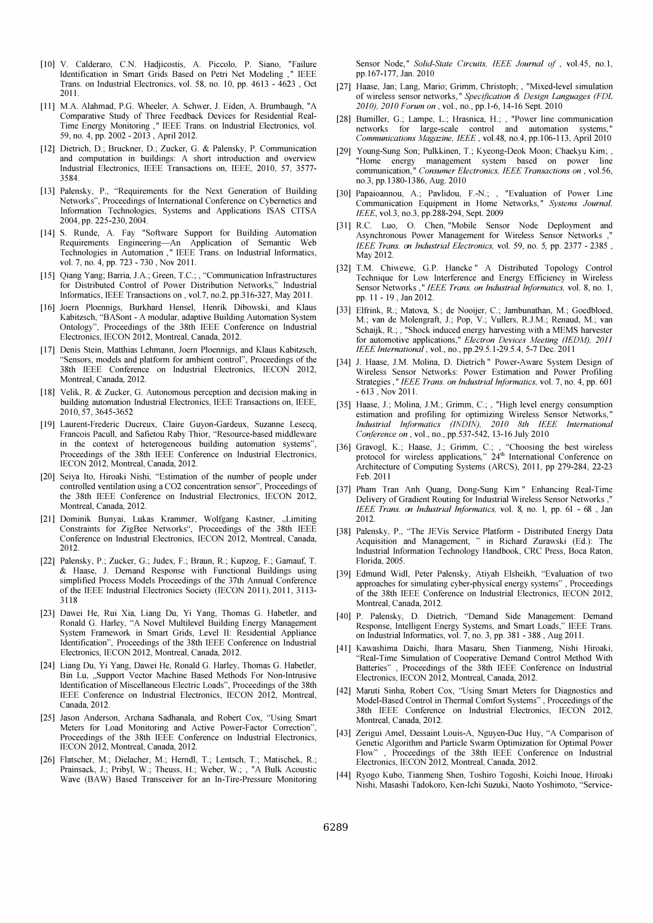- [10] V. Calderaro, C.N. Hadjicostis, A Piccolo, P. Siano, "Failure Identification in Smart Grids Based on Petri Net Modeling ," IEEE Trans. on Industrial Electronics, vol. 58, no. 10, pp. 4613 - 4623 , Oct 2011.
- [11] M.A. Alahmad, P.G. Wheeler, A Schwer, 1. Eiden, A Brumbaugh, "A Comparative Study of Three Feedback Devices for Residential Real-Time Energy Monitoring ," IEEE Trans. on Industrial Electronics, vol. 59, no. 4, pp. 2002 - 2013, April 2012.
- [12] Dietrich, D.; Bruckner, D.; Zucker, G. & Palensky, P. Communication and computation in buildings: A short introduction and overview Industrial Electronics, IEEE Transactions on, IEEE, 2010, 57, 3577- 3584.
- [13] Palensky, P., "Requirements for the Next Generation of Building Networks", Proceedings of International Conference on Cybernetics and Information Technologies, Systems and Applications ISAS CITSA 2004,pp. 225-230,2004.
- [14] S. Runde, A Fay "Software Support for Building Automation Requirements Engineering-An Application of Semantic Web Technologies in Automation ," IEEE Trans. on Industrial Informatics, vol. 7, no. 4, pp. 723 - 730, Nov 2011.
- [15] Qiang Yang; Barria, J.A.; Green, T.C.; , "Communication Infrastructures for Distributed Control of Power Distribution Networks," Industrial Informatics, IEEE Transactions on , vol.7, no.2, pp.316-327, May 2011.
- [16] Joern Ploennigs, Burkhard Hensel, Henrik Dibowski, and Klaus Kabitzsch, "BASont - A modular, adaptive Building Automation System Ontology", Proceedings of the 38th IEEE Conference on Industrial Electronics, IECON 2012, Montreal, Canada, 2012.
- [17] Denis Stein, Matthias Lehmann, Joern Ploennigs, and Klaus Kabitzsch, "Sensors, models and platform for ambient control", Proceedings of the 38th IEEE Conference on Industrial Electronics, IECON 2012, Montreal, Canada, 2012.
- [18] Velik, R. & Zucker, G. Autonomous perception and decision making in building automation Industrial Electronics, IEEE Transactions on, IEEE, 2010,57,3645-3652
- [19] Laurent-Frederic Ducreux, Claire Guyon-Gardeux, Suzanne Lesecq, Francois Pacull, and Safietou Raby Thior, "Resource-based middleware in the context of heterogeneous building automation systems", Proceedings of the 38th IEEE Conference on Industrial Electronics, IECON 2012, Montreal, Canada, 2012.
- [20] Seiya Ito, Hiroaki Nishi, "Estimation of the number of people under controlled ventilation using a C02 concentration sensor", Proceedings of the 38th IEEE Conference on Industrial Electronics, IECON 2012, Montreal, Canada, 2012.
- [21] Dominik Bunyai, Lukas Krammer, Wolfgang Kastner, "Limiting<br>Constraints for ZigDee Networks", Preseedings of the 29th UEE Constraints for ZigBee Networks", Proceedings of the 38th IEEE Conference on Industrial Electronics, IECON 2012, Montreal, Canada, 2012.
- [22] Palensky, P.; Zucker, G.; Judex, F.; Braun, R.; Kupzog, F.; Gamauf, T. & Haase, J. Demand Response with Functional Buildings using simplified Process Models Proceedings of the 37th Annual Conference of the IEEE Industrial Electronics Society (IECON 2011),2011, 3113- 3118
- [23] Dawei He, Rui Xia, Liang Du, Yi Yang, Thomas G. Habetler, and Ronald G. Harley, "A Novel Multilevel Building Energy Management System Framework in Smart Grids, Level II: Residential Appliance Identification", Proceedings of the 38th IEEE Conference on Industrial Electronics, IECON 2012, Montreal, Canada, 2012.
- [24] Liang Du, Yi Yang, Dawei He, Ronald G. Harley, Thomas G. Habetler, Bin Lu, "Support Vector Machine Based Methods For Non-Intrusive<br>Identification of Miscellaneous Electric Loads" Proceedings of the 28th Identification of Miscellaneous Electric Loads", Proceedings of the 38th IEEE Conference on Industrial Electronics, IECON 2012, Montreal, Canada, 2012.
- [25] Jason Anderson, Archana Sadhanala, and Robert Cox, "Using Smart Meters for Load Monitoring and Active Power-Factor Correction", Proceedings of the 38th IEEE Conference on Industrial Electronics, IECON 2012, Montreal, Canada, 2012.
- [26] Flatscher, M.; Dielacher, M.; Herndl, T.; Lentsch, T.; Matischek, R.; Prainsack, 1.; Pribyl, W.; Theuss, H.; Weber, W.; , "A Bulk Acoustic Wave (BAW) Based Transceiver for an In-Tire-Pressure Monitoring

Sensor Node," Solid-State Circuits, IEEE Journal of , vol.45, no.1, pp.167-177, Jan. 2010

- [27] Haase, Jan; Lang, Mario; Grimm, Christoph; , "Mixed-level simulation of wireless sensor networks," Specification & Design Languages (FDL 2010),2010 Forum on , vol., no., pp.1-6, 14-16 Sept. 2010
- [28] Bumiller, G.; Lampe, L.; Hrasnica, H.; , "Power line communication networks for large-scale control and automation systems," Communications Magazine, IEEE , vo1.48, no.4, pp.l06-113, April 2010
- [29] Young-Sung Son; Pulkkinen, T.; Kyeong-Deok Moon; Chaekyu Kim; , "Home energy management system based on power line communication," Consumer Electronics, IEEE Transactions on, vol.56, no.3, pp.1380-1386, Aug. 2010
- [30] Papaioannou, A; Pavlidou, F.-N.; , "Evaluation of Power Line Communication Equipment in Home Networks," Systems Journal, IEEE, vol.3, no.3, pp.288-294, Sept. 2009
- [31] R.C. Luo, O. Chen, "Mobile Sensor Node Deployment and Asynchronous Power Management for Wireless Sensor Networks, IEEE Trans. on Industrial Electronics, vol. 59, no. 5, pp. 2377 - 2385 , May 2012.
- [32] T.M. Chiwewe, G.P. Hancke " A Distributed Topology Control Technique for Low Interference and Energy Efficiency in Wireless Sensor Networks ," IEEE Trans. on Industrial Informatics, vol. 8, no. 1, pp. 11 - 19 , Jan 2012.
- [33] Elfrink, R.; Matova, S.; de Nooijer, C.; Jambunathan, M.; Goedbloed, M.; van de Molengraft, 1.; Pop, Y.; Vullers, R.1.M.; Renaud, M.; van Schaijk, R.; , "Shock induced energy harvesting with a MEMS harvester for automotive applications," Electron Devices Meeting (IEDM), 2011 IEEE International , vol., no., pp.29.5.1-29.5.4, 5-7 Dec. 2011
- [34] J. Haase, J.M. Molina, D. Dietrich " Power-Aware System Design of Wireless Sensor Networks: Power Estimation and Power Profiling Strategies ," IEEE Trans. on Industrial Informatics, vol. 7, no. 4, pp.  $60\bar{1}$ - 613 , Nov 2011.
- [35] Haase, 1.; Molina, 1.M.; Grimm, C.; , "High level energy consumption estimation and profiling for optimizing Wireless Sensor Networks," Industrial Informatics (INDIN). 2010 8th IEEE International Conference on , vol., no., pp.537-542, 13-16 July 2010
- [36] Gravogl, K.; Haase, J.; Grimm, C.; , "Choosing the best wireless protocol for wireless applications," 24<sup>th</sup> International Conference on Architecture of Computing Systems (ARCS), 2011, pp 279-284, 22-23 Feb. 2011
- [37] Pham Tran Anh Quang, Dong-Sung Kim " Enhancing Real-Time Delivery of Gradient Routing for Industrial Wireless Sensor Networks ," IEEE Trans. on Industrial Informatics, vol. 8, no. 1, pp. 61 - 68, Jan 2012.
- [38] Palensky, P., 'The JEVis Service Platform Distributed Energy Data Acquisition and Management, " in Richard Zurawski (Ed.): The Industrial Information Technology Handbook, CRC Press, Boca Raton, Florida, 2005.
- [39] Edmund Widl, Peter Palensky, Atiyah Elsheikh, "Evaluation of two approaches for simulating cyber-physical energy systems" , Proceedings of the 38th IEEE Conference on Industrial Electronics, IECON 2012, Montreal, Canada, 2012.
- [40] P. Palensky, D. Dietrich, "Demand Side Management: Demand Response, Intelligent Energy Systems, and Smart Loads," IEEE Trans. on Industrial Informatics, vol. 7, no. 3, pp. 381 - 388 , Aug 2011.
- [41] Kawashima Daichi, Ihara Masaru, Shen Tianmeng, Nishi Hiroaki, "Real-Time Simulation of Cooperative Demand Control Method With Batteries", Proceedings of the 38th IEEE Conference on Industrial Electronics, IECON 2012, Montreal, Canada, 2012.
- [42] Maruti Sinha, Robert Cox, "Using Smart Meters for Diagnostics and Model-Based Control in Thermal Comfort Systems" , Proceedings of the 38th IEEE Conference on Industrial Electronics, IECON 2012, Montreal, Canada, 2012.
- [43] Zerigui Amel, Dessaint Louis-A, Nguyen-Duc Huy, "A Comparison of Genetic Algorithm and Particle Swarm Optimization for Optimal Power Flow" , Proceedings of the 38th IEEE Conference on Industrial Electronics, IECON 2012, Montreal, Canada, 2012.
- [44] Ryogo Kubo, Tianmeng Shen, Toshiro Togoshi, Koichi Inoue, Hiroaki Nishi, Masashi Tadokoro, Ken-Ichi Suzuki, Naoto Yoshimoto, "Service-